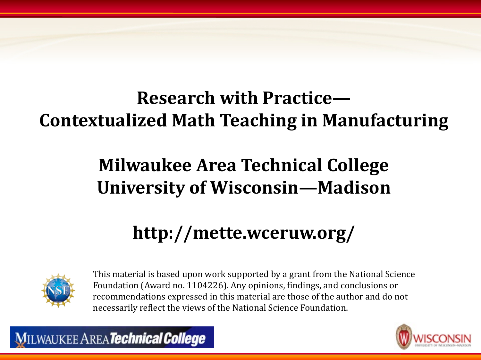#### **Research with Practice— Contextualized Math Teaching in Manufacturing**

#### **Milwaukee Area Technical College University of Wisconsin—Madison**

#### **http://mette.wceruw.org/**



This material is based upon work supported by a grant from the National Science Foundation (Award no. 1104226). Any opinions, findings, and conclusions or recommendations expressed in this material are those of the author and do not necessarily reflect the views of the National Science Foundation.

**MILWAUKEE AREA Technical College**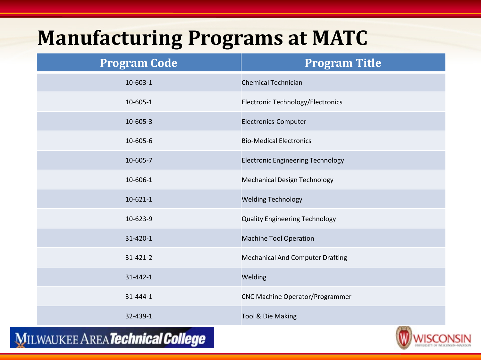#### **Manufacturing Programs at MATC**

| <b>Program Code</b> | <b>Program Title</b>                     |
|---------------------|------------------------------------------|
| $10 - 603 - 1$      | <b>Chemical Technician</b>               |
| 10-605-1            | Electronic Technology/Electronics        |
| 10-605-3            | Electronics-Computer                     |
| 10-605-6            | <b>Bio-Medical Electronics</b>           |
| 10-605-7            | <b>Electronic Engineering Technology</b> |
| 10-606-1            | <b>Mechanical Design Technology</b>      |
| $10 - 621 - 1$      | <b>Welding Technology</b>                |
| 10-623-9            | <b>Quality Engineering Technology</b>    |
| 31-420-1            | <b>Machine Tool Operation</b>            |
| 31-421-2            | <b>Mechanical And Computer Drafting</b>  |
| 31-442-1            | Welding                                  |
| 31-444-1            | <b>CNC Machine Operator/Programmer</b>   |
| 32-439-1            | Tool & Die Making                        |

**MILWAUKEE AREA Technical College** 

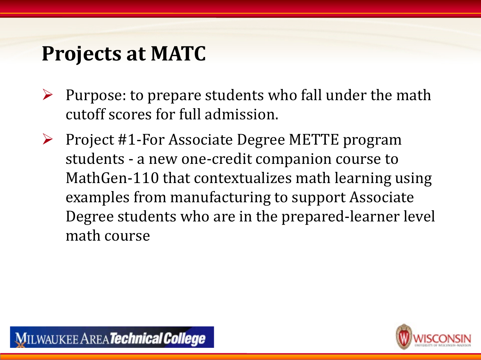#### **Projects at MATC**

- $\triangleright$  Purpose: to prepare students who fall under the math cutoff scores for full admission.
- $\triangleright$  Project #1-For Associate Degree METTE program students - a new one-credit companion course to MathGen-110 that contextualizes math learning using examples from manufacturing to support Associate Degree students who are in the prepared-learner level math course

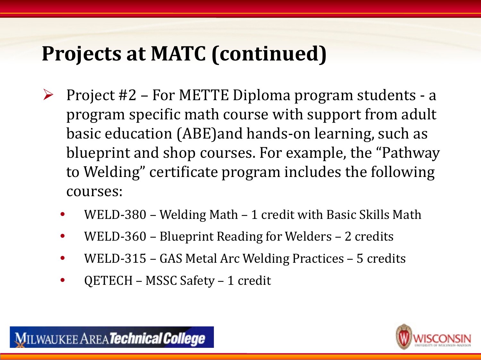#### **Projects at MATC (continued)**

- $\triangleright$  Project #2 For METTE Diploma program students a program specific math course with support from adult basic education (ABE)and hands-on learning, such as blueprint and shop courses. For example, the "Pathway to Welding" certificate program includes the following courses:
	- WELD-380 Welding Math 1 credit with Basic Skills Math
	- WELD-360 Blueprint Reading for Welders 2 credits
	- WELD-315 GAS Metal Arc Welding Practices 5 credits
	- QETECH MSSC Safety 1 credit

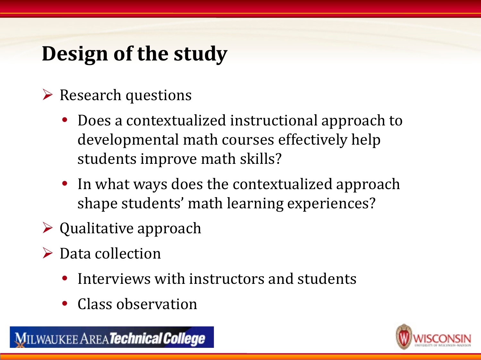### **Design of the study**

- $\triangleright$  Research questions
	- Does a contextualized instructional approach to developmental math courses effectively help students improve math skills?
	- In what ways does the contextualized approach shape students' math learning experiences?
- $\triangleright$  Qualitative approach
- $\triangleright$  Data collection
	- Interviews with instructors and students
	- Class observation

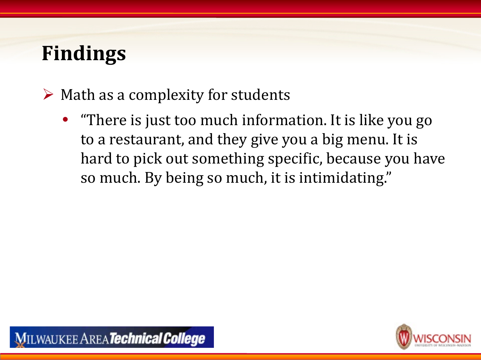$\triangleright$  Math as a complexity for students

• "There is just too much information. It is like you go to a restaurant, and they give you a big menu. It is hard to pick out something specific, because you have so much. By being so much, it is intimidating."



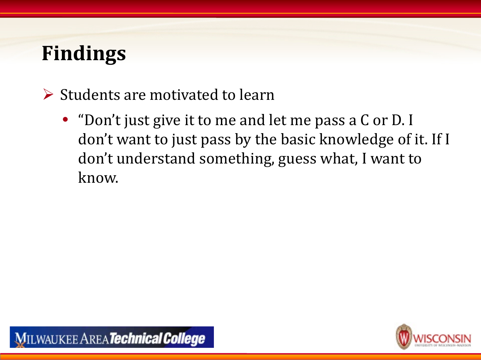- $\triangleright$  Students are motivated to learn
	- "Don't just give it to me and let me pass a C or D. I don't want to just pass by the basic knowledge of it. If I don't understand something, guess what, I want to know.



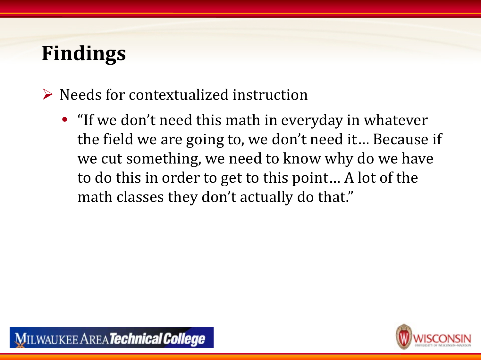- $\triangleright$  Needs for contextualized instruction
	- "If we don't need this math in everyday in whatever the field we are going to, we don't need it… Because if we cut something, we need to know why do we have to do this in order to get to this point… A lot of the math classes they don't actually do that."



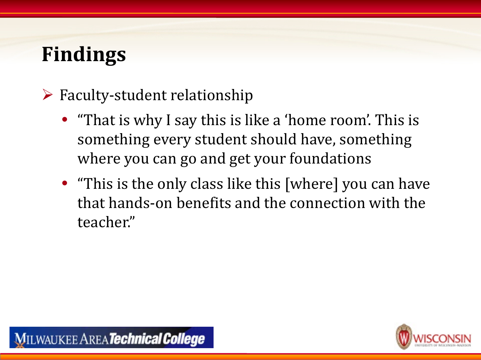- $\triangleright$  Faculty-student relationship
	- "That is why I say this is like a 'home room'. This is something every student should have, something where you can go and get your foundations
	- "This is the only class like this [where] you can have that hands-on benefits and the connection with the teacher."

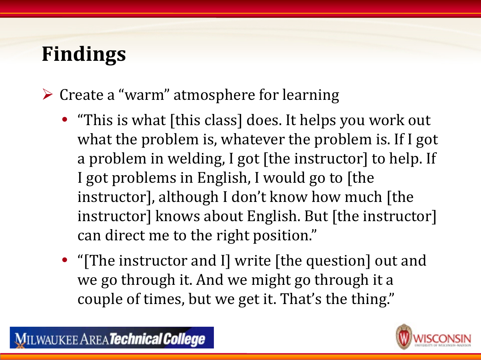$\triangleright$  Create a "warm" atmosphere for learning

- "This is what [this class] does. It helps you work out what the problem is, whatever the problem is. If I got a problem in welding, I got [the instructor] to help. If I got problems in English, I would go to [the instructor], although I don't know how much [the instructor] knows about English. But [the instructor] can direct me to the right position."
- "[The instructor and I] write [the question] out and we go through it. And we might go through it a couple of times, but we get it. That's the thing."



**MILWAUKEE AREA Technical College**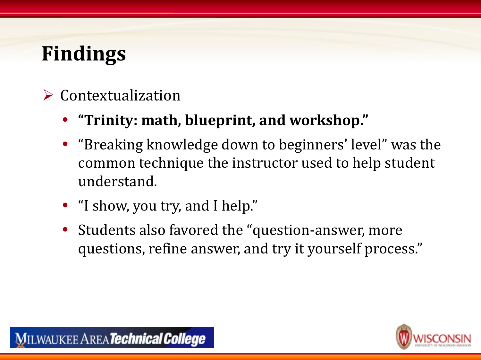#### Contextualization

- **"Trinity: math, blueprint, and workshop."**
- "Breaking knowledge down to beginners' level" was the common technique the instructor used to help student understand.
- "I show, you try, and I help."
- Students also favored the "question-answer, more questions, refine answer, and try it yourself process."